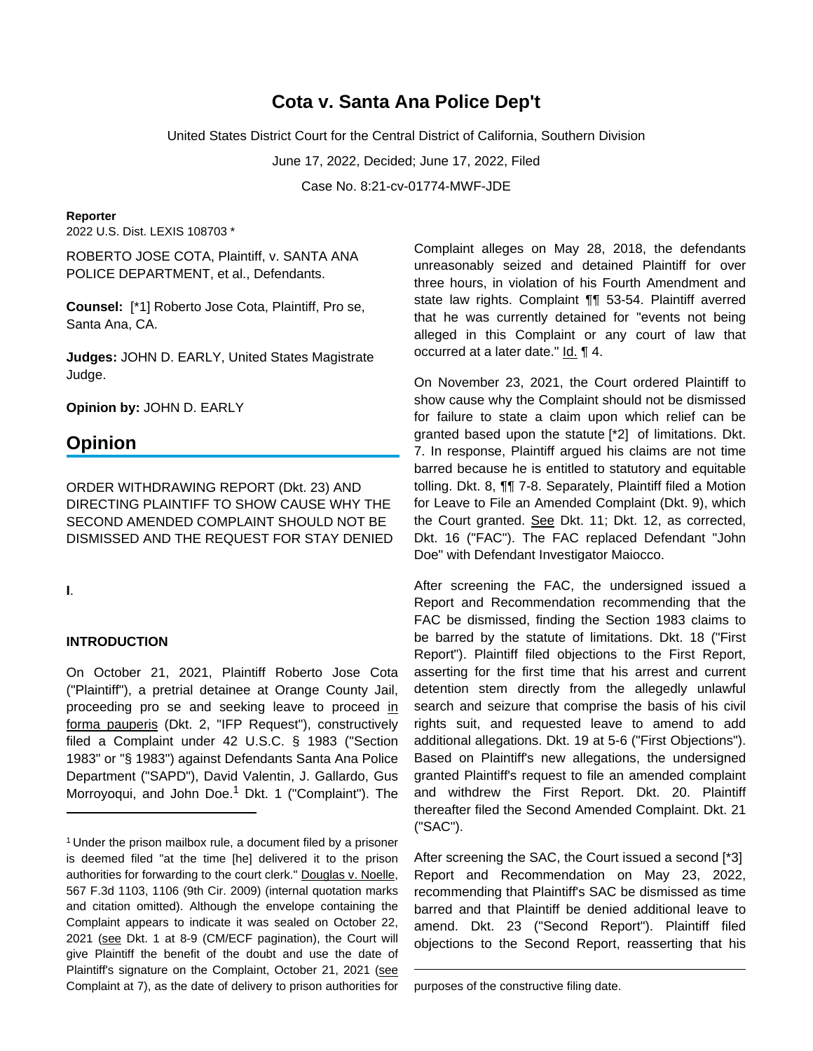# **Cota v. Santa Ana Police Dep't**

United States District Court for the Central District of California, Southern Division

June 17, 2022, Decided; June 17, 2022, Filed

Case No. 8:21-cv-01774-MWF-JDE

#### **Reporter**

2022 U.S. Dist. LEXIS 108703 \*

ROBERTO JOSE COTA, Plaintiff, v. SANTA ANA POLICE DEPARTMENT, et al., Defendants.

**Counsel:** [\*1] Roberto Jose Cota, Plaintiff, Pro se, Santa Ana, CA.

**Judges:** JOHN D. EARLY, United States Magistrate Judge.

**Opinion by:** JOHN D. EARLY

# **Opinion**

ORDER WITHDRAWING REPORT (Dkt. 23) AND DIRECTING PLAINTIFF TO SHOW CAUSE WHY THE SECOND AMENDED COMPLAINT SHOULD NOT BE DISMISSED AND THE REQUEST FOR STAY DENIED

# **I**.

## **INTRODUCTION**

On October 21, 2021, Plaintiff Roberto Jose Cota ("Plaintiff"), a pretrial detainee at Orange County Jail, proceeding pro se and seeking leave to proceed in forma pauperis (Dkt. 2, "IFP Request"), constructively filed a Complaint under 42 U.S.C. § 1983 ("Section 1983" or "§ 1983") against Defendants Santa Ana Police Department ("SAPD"), David Valentin, J. Gallardo, Gus Morroyoqui, and John Doe.<sup>1</sup> Dkt. 1 ("Complaint"). The Complaint alleges on May 28, 2018, the defendants unreasonably seized and detained Plaintiff for over three hours, in violation of his Fourth Amendment and state law rights. Complaint ¶¶ 53-54. Plaintiff averred that he was currently detained for "events not being alleged in this Complaint or any court of law that occurred at a later date." Id. ¶ 4.

On November 23, 2021, the Court ordered Plaintiff to show cause why the Complaint should not be dismissed for failure to state a claim upon which relief can be granted based upon the statute [\*2] of limitations. Dkt. 7. In response, Plaintiff argued his claims are not time barred because he is entitled to statutory and equitable tolling. Dkt. 8, ¶¶ 7-8. Separately, Plaintiff filed a Motion for Leave to File an Amended Complaint (Dkt. 9), which the Court granted. See Dkt. 11; Dkt. 12, as corrected, Dkt. 16 ("FAC"). The FAC replaced Defendant "John Doe" with Defendant Investigator Maiocco.

After screening the FAC, the undersigned issued a Report and Recommendation recommending that the FAC be dismissed, finding the Section 1983 claims to be barred by the statute of limitations. Dkt. 18 ("First Report"). Plaintiff filed objections to the First Report, asserting for the first time that his arrest and current detention stem directly from the allegedly unlawful search and seizure that comprise the basis of his civil rights suit, and requested leave to amend to add additional allegations. Dkt. 19 at 5-6 ("First Objections"). Based on Plaintiff's new allegations, the undersigned granted Plaintiff's request to file an amended complaint and withdrew the First Report. Dkt. 20. Plaintiff thereafter filed the Second Amended Complaint. Dkt. 21 ("SAC").

After screening the SAC, the Court issued a second [\*3] Report and Recommendation on May 23, 2022, recommending that Plaintiff's SAC be dismissed as time barred and that Plaintiff be denied additional leave to amend. Dkt. 23 ("Second Report"). Plaintiff filed objections to the Second Report, reasserting that his

<sup>&</sup>lt;sup>1</sup> Under the prison mailbox rule, a document filed by a prisoner is deemed filed "at the time [he] delivered it to the prison authorities for forwarding to the court clerk." Douglas v. Noelle, 567 F.3d 1103, 1106 (9th Cir. 2009) (internal quotation marks and citation omitted). Although the envelope containing the Complaint appears to indicate it was sealed on October 22, 2021 (see Dkt. 1 at 8-9 (CM/ECF pagination), the Court will give Plaintiff the benefit of the doubt and use the date of Plaintiff's signature on the Complaint, October 21, 2021 (see Complaint at 7), as the date of delivery to prison authorities for

purposes of the constructive filing date.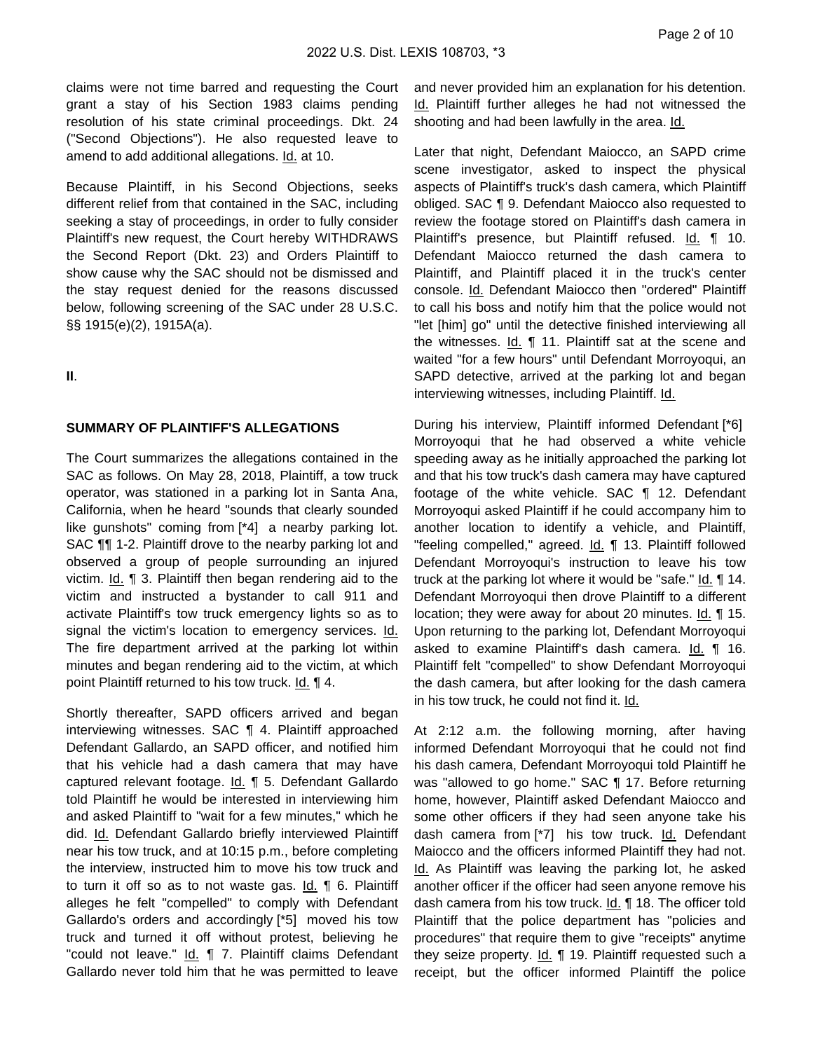claims were not time barred and requesting the Court grant a stay of his Section 1983 claims pending resolution of his state criminal proceedings. Dkt. 24 ("Second Objections"). He also requested leave to amend to add additional allegations. Id. at 10.

Because Plaintiff, in his Second Objections, seeks different relief from that contained in the SAC, including seeking a stay of proceedings, in order to fully consider Plaintiff's new request, the Court hereby WITHDRAWS the Second Report (Dkt. 23) and Orders Plaintiff to show cause why the SAC should not be dismissed and the stay request denied for the reasons discussed below, following screening of the SAC under 28 U.S.C. §§ 1915(e)(2), 1915A(a).

**II**.

#### **SUMMARY OF PLAINTIFF'S ALLEGATIONS**

The Court summarizes the allegations contained in the SAC as follows. On May 28, 2018, Plaintiff, a tow truck operator, was stationed in a parking lot in Santa Ana, California, when he heard "sounds that clearly sounded like gunshots" coming from [\*4] a nearby parking lot. SAC ¶¶ 1-2. Plaintiff drove to the nearby parking lot and observed a group of people surrounding an injured victim. Id. ¶ 3. Plaintiff then began rendering aid to the victim and instructed a bystander to call 911 and activate Plaintiff's tow truck emergency lights so as to signal the victim's location to emergency services. Id. The fire department arrived at the parking lot within minutes and began rendering aid to the victim, at which point Plaintiff returned to his tow truck. Id. ¶ 4.

Shortly thereafter, SAPD officers arrived and began interviewing witnesses. SAC ¶ 4. Plaintiff approached Defendant Gallardo, an SAPD officer, and notified him that his vehicle had a dash camera that may have captured relevant footage. Id. ¶ 5. Defendant Gallardo told Plaintiff he would be interested in interviewing him and asked Plaintiff to "wait for a few minutes," which he did. Id. Defendant Gallardo briefly interviewed Plaintiff near his tow truck, and at 10:15 p.m., before completing the interview, instructed him to move his tow truck and to turn it off so as to not waste gas. Id. ¶ 6. Plaintiff alleges he felt "compelled" to comply with Defendant Gallardo's orders and accordingly [\*5] moved his tow truck and turned it off without protest, believing he "could not leave." Id. | 7. Plaintiff claims Defendant Gallardo never told him that he was permitted to leave

and never provided him an explanation for his detention. Id. Plaintiff further alleges he had not witnessed the shooting and had been lawfully in the area. Id.

Later that night, Defendant Maiocco, an SAPD crime scene investigator, asked to inspect the physical aspects of Plaintiff's truck's dash camera, which Plaintiff obliged. SAC ¶ 9. Defendant Maiocco also requested to review the footage stored on Plaintiff's dash camera in Plaintiff's presence, but Plaintiff refused. Id. 10. Defendant Maiocco returned the dash camera to Plaintiff, and Plaintiff placed it in the truck's center console. Id. Defendant Maiocco then "ordered" Plaintiff to call his boss and notify him that the police would not "let [him] go" until the detective finished interviewing all the witnesses. Id. 11. Plaintiff sat at the scene and waited "for a few hours" until Defendant Morroyoqui, an SAPD detective, arrived at the parking lot and began interviewing witnesses, including Plaintiff. Id.

During his interview, Plaintiff informed Defendant [\*6] Morroyoqui that he had observed a white vehicle speeding away as he initially approached the parking lot and that his tow truck's dash camera may have captured footage of the white vehicle. SAC ¶ 12. Defendant Morroyoqui asked Plaintiff if he could accompany him to another location to identify a vehicle, and Plaintiff, "feeling compelled," agreed. Id. 13. Plaintiff followed Defendant Morroyoqui's instruction to leave his tow truck at the parking lot where it would be "safe." Id. ¶ 14. Defendant Morroyoqui then drove Plaintiff to a different location; they were away for about 20 minutes. Id. ¶ 15. Upon returning to the parking lot, Defendant Morroyoqui asked to examine Plaintiff's dash camera. Id. 16. Plaintiff felt "compelled" to show Defendant Morroyoqui the dash camera, but after looking for the dash camera in his tow truck, he could not find it. Id.

At 2:12 a.m. the following morning, after having informed Defendant Morroyoqui that he could not find his dash camera, Defendant Morroyoqui told Plaintiff he was "allowed to go home." SAC ¶ 17. Before returning home, however, Plaintiff asked Defendant Maiocco and some other officers if they had seen anyone take his dash camera from [\*7] his tow truck. Id. Defendant Maiocco and the officers informed Plaintiff they had not. Id. As Plaintiff was leaving the parking lot, he asked another officer if the officer had seen anyone remove his dash camera from his tow truck. Id. 18. The officer told Plaintiff that the police department has "policies and procedures" that require them to give "receipts" anytime they seize property.  $Id. \P 19$ . Plaintiff requested such a receipt, but the officer informed Plaintiff the police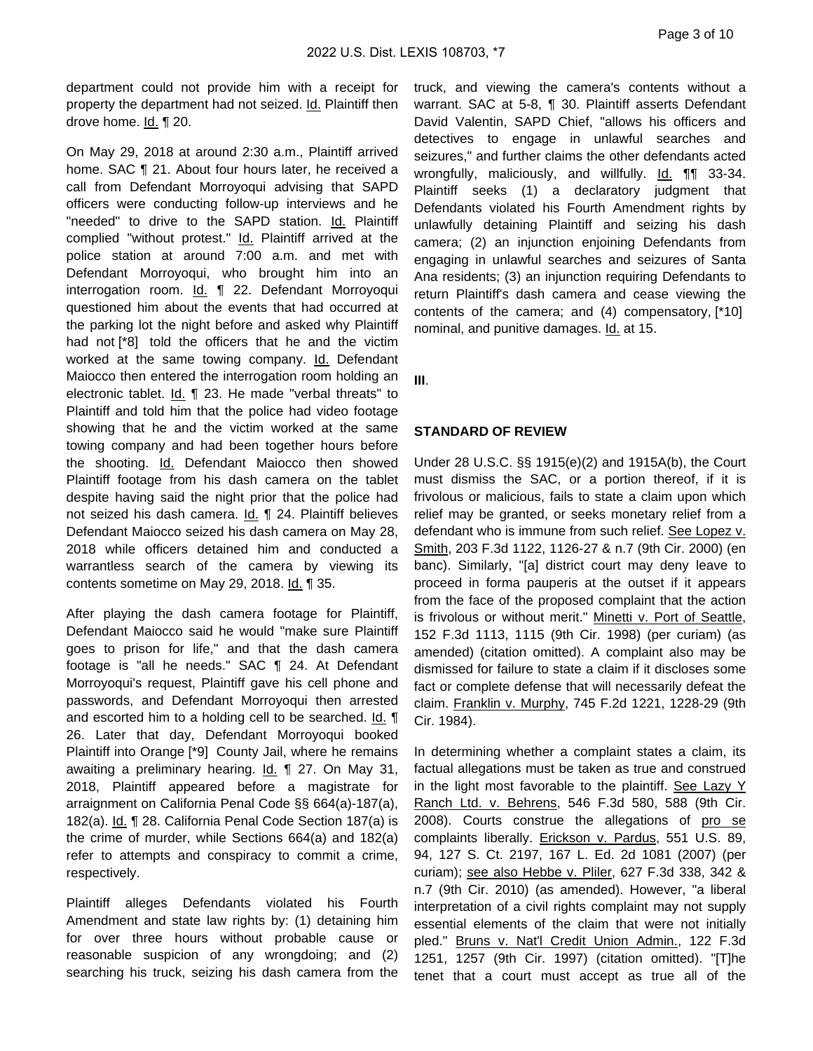department could not provide him with a receipt for property the department had not seized. Id. Plaintiff then drove home. Id. ¶ 20.

On May 29, 2018 at around 2:30 a.m., Plaintiff arrived home. SAC ¶ 21. About four hours later, he received a call from Defendant Morroyoqui advising that SAPD officers were conducting follow-up interviews and he "needed" to drive to the SAPD station. Id. Plaintiff complied "without protest." Id. Plaintiff arrived at the police station at around 7:00 a.m. and met with Defendant Morroyoqui, who brought him into an interrogation room. Id. | 22. Defendant Morroyoqui questioned him about the events that had occurred at the parking lot the night before and asked why Plaintiff had not [\*8] told the officers that he and the victim worked at the same towing company. Id. Defendant Maiocco then entered the interrogation room holding an electronic tablet. Id. 1 23. He made "verbal threats" to Plaintiff and told him that the police had video footage showing that he and the victim worked at the same towing company and had been together hours before the shooting. Id. Defendant Maiocco then showed Plaintiff footage from his dash camera on the tablet despite having said the night prior that the police had not seized his dash camera. Id. ¶ 24. Plaintiff believes Defendant Maiocco seized his dash camera on May 28, 2018 while officers detained him and conducted a warrantless search of the camera by viewing its contents sometime on May 29, 2018. Id. 1 35.

After playing the dash camera footage for Plaintiff, Defendant Maiocco said he would "make sure Plaintiff goes to prison for life," and that the dash camera footage is "all he needs." SAC ¶ 24. At Defendant Morroyoqui's request, Plaintiff gave his cell phone and passwords, and Defendant Morroyoqui then arrested and escorted him to a holding cell to be searched. Id. ¶ 26. Later that day, Defendant Morroyoqui booked Plaintiff into Orange [\*9] County Jail, where he remains awaiting a preliminary hearing. Id. ¶ 27. On May 31, 2018, Plaintiff appeared before a magistrate for arraignment on California Penal Code §§ 664(a)-187(a), 182(a). Id. ¶ 28. California Penal Code Section 187(a) is the crime of murder, while Sections 664(a) and 182(a) refer to attempts and conspiracy to commit a crime, respectively.

Plaintiff alleges Defendants violated his Fourth Amendment and state law rights by: (1) detaining him for over three hours without probable cause or reasonable suspicion of any wrongdoing; and (2) searching his truck, seizing his dash camera from the truck, and viewing the camera's contents without a warrant. SAC at 5-8, ¶ 30. Plaintiff asserts Defendant David Valentin, SAPD Chief, "allows his officers and detectives to engage in unlawful searches and seizures," and further claims the other defendants acted wrongfully, maliciously, and willfully. Id. 11 33-34. Plaintiff seeks (1) a declaratory judgment that Defendants violated his Fourth Amendment rights by unlawfully detaining Plaintiff and seizing his dash camera; (2) an injunction enjoining Defendants from engaging in unlawful searches and seizures of Santa Ana residents; (3) an injunction requiring Defendants to return Plaintiff's dash camera and cease viewing the contents of the camera; and (4) compensatory, [\*10] nominal, and punitive damages. Id. at 15.

**III**.

#### **STANDARD OF REVIEW**

Under 28 U.S.C. §§ 1915(e)(2) and 1915A(b), the Court must dismiss the SAC, or a portion thereof, if it is frivolous or malicious, fails to state a claim upon which relief may be granted, or seeks monetary relief from a defendant who is immune from such relief. See Lopez v. Smith, 203 F.3d 1122, 1126-27 & n.7 (9th Cir. 2000) (en banc). Similarly, "[a] district court may deny leave to proceed in forma pauperis at the outset if it appears from the face of the proposed complaint that the action is frivolous or without merit." Minetti v. Port of Seattle, 152 F.3d 1113, 1115 (9th Cir. 1998) (per curiam) (as amended) (citation omitted). A complaint also may be dismissed for failure to state a claim if it discloses some fact or complete defense that will necessarily defeat the claim. Franklin v. Murphy, 745 F.2d 1221, 1228-29 (9th Cir. 1984).

In determining whether a complaint states a claim, its factual allegations must be taken as true and construed in the light most favorable to the plaintiff. See Lazy Y Ranch Ltd. v. Behrens, 546 F.3d 580, 588 (9th Cir. 2008). Courts construe the allegations of pro se complaints liberally. Erickson v. Pardus, 551 U.S. 89, 94, 127 S. Ct. 2197, 167 L. Ed. 2d 1081 (2007) (per curiam); see also Hebbe v. Pliler, 627 F.3d 338, 342 & n.7 (9th Cir. 2010) (as amended). However, "a liberal interpretation of a civil rights complaint may not supply essential elements of the claim that were not initially pled." Bruns v. Nat'l Credit Union Admin., 122 F.3d 1251, 1257 (9th Cir. 1997) (citation omitted). "[T]he tenet that a court must accept as true all of the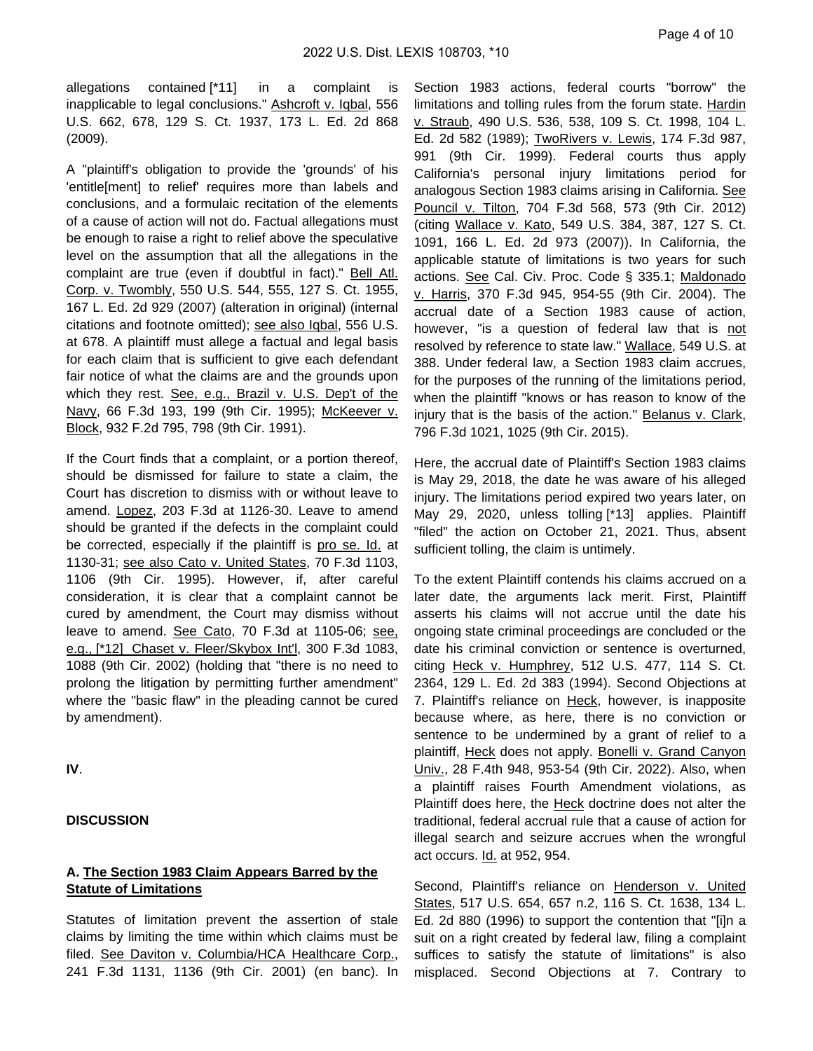allegations contained [\*11] in a complaint is inapplicable to legal conclusions." Ashcroft v. Iqbal, 556 U.S. 662, 678, 129 S. Ct. 1937, 173 L. Ed. 2d 868 (2009).

A "plaintiff's obligation to provide the 'grounds' of his 'entitle[ment] to relief' requires more than labels and conclusions, and a formulaic recitation of the elements of a cause of action will not do. Factual allegations must be enough to raise a right to relief above the speculative level on the assumption that all the allegations in the complaint are true (even if doubtful in fact)." Bell Atl. Corp. v. Twombly, 550 U.S. 544, 555, 127 S. Ct. 1955, 167 L. Ed. 2d 929 (2007) (alteration in original) (internal citations and footnote omitted); see also Iqbal, 556 U.S. at 678. A plaintiff must allege a factual and legal basis for each claim that is sufficient to give each defendant fair notice of what the claims are and the grounds upon which they rest. See, e.g., Brazil v. U.S. Dep't of the Navy, 66 F.3d 193, 199 (9th Cir. 1995); McKeever v. Block, 932 F.2d 795, 798 (9th Cir. 1991).

If the Court finds that a complaint, or a portion thereof, should be dismissed for failure to state a claim, the Court has discretion to dismiss with or without leave to amend. Lopez, 203 F.3d at 1126-30. Leave to amend should be granted if the defects in the complaint could be corrected, especially if the plaintiff is pro se. Id. at 1130-31; see also Cato v. United States, 70 F.3d 1103, 1106 (9th Cir. 1995). However, if, after careful consideration, it is clear that a complaint cannot be cured by amendment, the Court may dismiss without leave to amend. See Cato, 70 F.3d at 1105-06; see, e.g., [\*12] Chaset v. Fleer/Skybox Int'l, 300 F.3d 1083, 1088 (9th Cir. 2002) (holding that "there is no need to prolong the litigation by permitting further amendment" where the "basic flaw" in the pleading cannot be cured by amendment).

**IV**.

### **DISCUSSION**

## **A. The Section 1983 Claim Appears Barred by the Statute of Limitations**

Statutes of limitation prevent the assertion of stale claims by limiting the time within which claims must be filed. See Daviton v. Columbia/HCA Healthcare Corp., 241 F.3d 1131, 1136 (9th Cir. 2001) (en banc). In Section 1983 actions, federal courts "borrow" the limitations and tolling rules from the forum state. Hardin v. Straub, 490 U.S. 536, 538, 109 S. Ct. 1998, 104 L. Ed. 2d 582 (1989); TwoRivers v. Lewis, 174 F.3d 987, 991 (9th Cir. 1999). Federal courts thus apply California's personal injury limitations period for analogous Section 1983 claims arising in California. See Pouncil v. Tilton, 704 F.3d 568, 573 (9th Cir. 2012) (citing Wallace v. Kato, 549 U.S. 384, 387, 127 S. Ct. 1091, 166 L. Ed. 2d 973 (2007)). In California, the applicable statute of limitations is two years for such actions. See Cal. Civ. Proc. Code § 335.1; Maldonado v. Harris, 370 F.3d 945, 954-55 (9th Cir. 2004). The accrual date of a Section 1983 cause of action, however, "is a question of federal law that is not resolved by reference to state law." Wallace, 549 U.S. at 388. Under federal law, a Section 1983 claim accrues, for the purposes of the running of the limitations period, when the plaintiff "knows or has reason to know of the injury that is the basis of the action." Belanus v. Clark, 796 F.3d 1021, 1025 (9th Cir. 2015).

Here, the accrual date of Plaintiff's Section 1983 claims is May 29, 2018, the date he was aware of his alleged injury. The limitations period expired two years later, on May 29, 2020, unless tolling [\*13] applies. Plaintiff "filed" the action on October 21, 2021. Thus, absent sufficient tolling, the claim is untimely.

To the extent Plaintiff contends his claims accrued on a later date, the arguments lack merit. First, Plaintiff asserts his claims will not accrue until the date his ongoing state criminal proceedings are concluded or the date his criminal conviction or sentence is overturned, citing Heck v. Humphrey, 512 U.S. 477, 114 S. Ct. 2364, 129 L. Ed. 2d 383 (1994). Second Objections at 7. Plaintiff's reliance on Heck, however, is inapposite because where, as here, there is no conviction or sentence to be undermined by a grant of relief to a plaintiff, Heck does not apply. Bonelli v. Grand Canyon Univ., 28 F.4th 948, 953-54 (9th Cir. 2022). Also, when a plaintiff raises Fourth Amendment violations, as Plaintiff does here, the Heck doctrine does not alter the traditional, federal accrual rule that a cause of action for illegal search and seizure accrues when the wrongful act occurs. Id. at 952, 954.

Second, Plaintiff's reliance on Henderson v. United States, 517 U.S. 654, 657 n.2, 116 S. Ct. 1638, 134 L. Ed. 2d 880 (1996) to support the contention that "[i]n a suit on a right created by federal law, filing a complaint suffices to satisfy the statute of limitations" is also misplaced. Second Objections at 7. Contrary to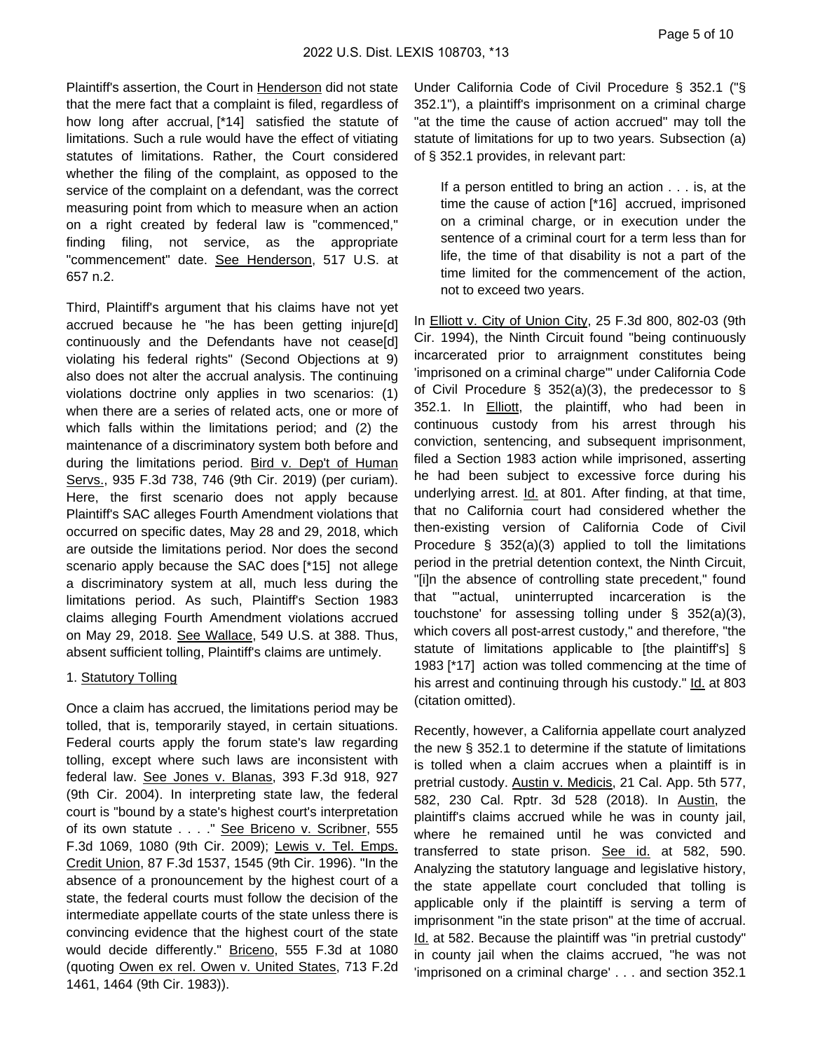Plaintiff's assertion, the Court in Henderson did not state that the mere fact that a complaint is filed, regardless of how long after accrual, [\*14] satisfied the statute of limitations. Such a rule would have the effect of vitiating statutes of limitations. Rather, the Court considered whether the filing of the complaint, as opposed to the service of the complaint on a defendant, was the correct measuring point from which to measure when an action on a right created by federal law is "commenced," finding filing, not service, as the appropriate "commencement" date. See Henderson, 517 U.S. at 657 n.2.

Third, Plaintiff's argument that his claims have not yet accrued because he "he has been getting injure[d] continuously and the Defendants have not cease[d] violating his federal rights" (Second Objections at 9) also does not alter the accrual analysis. The continuing violations doctrine only applies in two scenarios: (1) when there are a series of related acts, one or more of which falls within the limitations period; and (2) the maintenance of a discriminatory system both before and during the limitations period. Bird v. Dep't of Human Servs., 935 F.3d 738, 746 (9th Cir. 2019) (per curiam). Here, the first scenario does not apply because Plaintiff's SAC alleges Fourth Amendment violations that occurred on specific dates, May 28 and 29, 2018, which are outside the limitations period. Nor does the second scenario apply because the SAC does [\*15] not allege a discriminatory system at all, much less during the limitations period. As such, Plaintiff's Section 1983 claims alleging Fourth Amendment violations accrued on May 29, 2018. See Wallace, 549 U.S. at 388. Thus, absent sufficient tolling, Plaintiff's claims are untimely.

## 1. Statutory Tolling

Once a claim has accrued, the limitations period may be tolled, that is, temporarily stayed, in certain situations. Federal courts apply the forum state's law regarding tolling, except where such laws are inconsistent with federal law. See Jones v. Blanas, 393 F.3d 918, 927 (9th Cir. 2004). In interpreting state law, the federal court is "bound by a state's highest court's interpretation of its own statute . . . ." See Briceno v. Scribner, 555 F.3d 1069, 1080 (9th Cir. 2009); Lewis v. Tel. Emps. Credit Union, 87 F.3d 1537, 1545 (9th Cir. 1996). "In the absence of a pronouncement by the highest court of a state, the federal courts must follow the decision of the intermediate appellate courts of the state unless there is convincing evidence that the highest court of the state would decide differently." Briceno, 555 F.3d at 1080 (quoting Owen ex rel. Owen v. United States, 713 F.2d 1461, 1464 (9th Cir. 1983)).

Under California Code of Civil Procedure § 352.1 ("§ 352.1"), a plaintiff's imprisonment on a criminal charge "at the time the cause of action accrued" may toll the statute of limitations for up to two years. Subsection (a) of § 352.1 provides, in relevant part:

If a person entitled to bring an action . . . is, at the time the cause of action [\*16] accrued, imprisoned on a criminal charge, or in execution under the sentence of a criminal court for a term less than for life, the time of that disability is not a part of the time limited for the commencement of the action, not to exceed two years.

In Elliott v. City of Union City, 25 F.3d 800, 802-03 (9th Cir. 1994), the Ninth Circuit found "being continuously incarcerated prior to arraignment constitutes being 'imprisoned on a criminal charge'" under California Code of Civil Procedure § 352(a)(3), the predecessor to § 352.1. In **Elliott**, the plaintiff, who had been in continuous custody from his arrest through his conviction, sentencing, and subsequent imprisonment, filed a Section 1983 action while imprisoned, asserting he had been subject to excessive force during his underlying arrest. Id. at 801. After finding, at that time, that no California court had considered whether the then-existing version of California Code of Civil Procedure  $\S$  352(a)(3) applied to toll the limitations period in the pretrial detention context, the Ninth Circuit, "[i]n the absence of controlling state precedent," found that "'actual, uninterrupted incarceration is the touchstone' for assessing tolling under § 352(a)(3), which covers all post-arrest custody," and therefore, "the statute of limitations applicable to [the plaintiff's] § 1983 [\*17] action was tolled commencing at the time of his arrest and continuing through his custody." Id. at 803 (citation omitted).

Recently, however, a California appellate court analyzed the new § 352.1 to determine if the statute of limitations is tolled when a claim accrues when a plaintiff is in pretrial custody. Austin v. Medicis, 21 Cal. App. 5th 577, 582, 230 Cal. Rptr. 3d 528 (2018). In Austin, the plaintiff's claims accrued while he was in county jail, where he remained until he was convicted and transferred to state prison. See id. at 582, 590. Analyzing the statutory language and legislative history, the state appellate court concluded that tolling is applicable only if the plaintiff is serving a term of imprisonment "in the state prison" at the time of accrual. Id. at 582. Because the plaintiff was "in pretrial custody" in county jail when the claims accrued, "he was not 'imprisoned on a criminal charge' . . . and section 352.1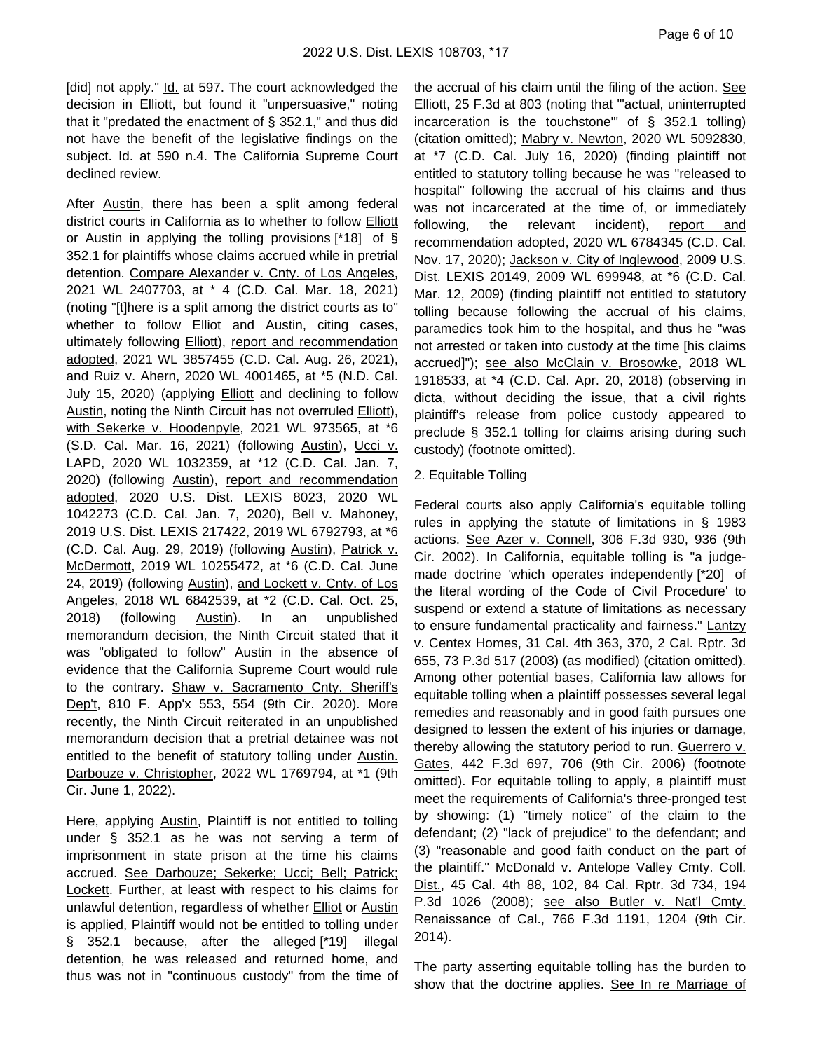[did] not apply." Id. at 597. The court acknowledged the decision in **Elliott**, but found it "unpersuasive," noting that it "predated the enactment of § 352.1," and thus did not have the benefit of the legislative findings on the subject. Id. at 590 n.4. The California Supreme Court declined review.

After Austin, there has been a split among federal district courts in California as to whether to follow Elliott or Austin in applying the tolling provisions [\*18] of § 352.1 for plaintiffs whose claims accrued while in pretrial detention. Compare Alexander v. Cnty. of Los Angeles, 2021 WL 2407703, at \* 4 (C.D. Cal. Mar. 18, 2021) (noting "[t]here is a split among the district courts as to" whether to follow Elliot and Austin, citing cases, ultimately following Elliott), report and recommendation adopted, 2021 WL 3857455 (C.D. Cal. Aug. 26, 2021), and Ruiz v. Ahern, 2020 WL 4001465, at \*5 (N.D. Cal. July 15, 2020) (applying **Elliott** and declining to follow Austin, noting the Ninth Circuit has not overruled Elliott), with Sekerke v. Hoodenpyle, 2021 WL 973565, at \*6 (S.D. Cal. Mar. 16, 2021) (following Austin), Ucci v. LAPD, 2020 WL 1032359, at \*12 (C.D. Cal. Jan. 7, 2020) (following Austin), report and recommendation adopted, 2020 U.S. Dist. LEXIS 8023, 2020 WL 1042273 (C.D. Cal. Jan. 7, 2020), Bell v. Mahoney, 2019 U.S. Dist. LEXIS 217422, 2019 WL 6792793, at \*6 (C.D. Cal. Aug. 29, 2019) (following Austin), Patrick v. McDermott, 2019 WL 10255472, at \*6 (C.D. Cal. June 24, 2019) (following Austin), and Lockett v. Cnty. of Los Angeles, 2018 WL 6842539, at \*2 (C.D. Cal. Oct. 25, 2018) (following Austin). In an unpublished memorandum decision, the Ninth Circuit stated that it was "obligated to follow" Austin in the absence of evidence that the California Supreme Court would rule to the contrary. Shaw v. Sacramento Cnty. Sheriff's Dep't, 810 F. App'x 553, 554 (9th Cir. 2020). More recently, the Ninth Circuit reiterated in an unpublished memorandum decision that a pretrial detainee was not entitled to the benefit of statutory tolling under Austin. Darbouze v. Christopher, 2022 WL 1769794, at \*1 (9th Cir. June 1, 2022).

Here, applying Austin, Plaintiff is not entitled to tolling under § 352.1 as he was not serving a term of imprisonment in state prison at the time his claims accrued. See Darbouze; Sekerke; Ucci; Bell; Patrick; Lockett. Further, at least with respect to his claims for unlawful detention, regardless of whether Elliot or Austin is applied, Plaintiff would not be entitled to tolling under § 352.1 because, after the alleged [\*19] illegal detention, he was released and returned home, and thus was not in "continuous custody" from the time of the accrual of his claim until the filing of the action. See Elliott, 25 F.3d at 803 (noting that "'actual, uninterrupted incarceration is the touchstone'" of § 352.1 tolling) (citation omitted); Mabry v. Newton, 2020 WL 5092830, at \*7 (C.D. Cal. July 16, 2020) (finding plaintiff not entitled to statutory tolling because he was "released to hospital" following the accrual of his claims and thus was not incarcerated at the time of, or immediately following, the relevant incident), report and recommendation adopted, 2020 WL 6784345 (C.D. Cal. Nov. 17, 2020); Jackson v. City of Inglewood, 2009 U.S. Dist. LEXIS 20149, 2009 WL 699948, at \*6 (C.D. Cal. Mar. 12, 2009) (finding plaintiff not entitled to statutory tolling because following the accrual of his claims, paramedics took him to the hospital, and thus he "was not arrested or taken into custody at the time [his claims accrued]"); see also McClain v. Brosowke, 2018 WL 1918533, at \*4 (C.D. Cal. Apr. 20, 2018) (observing in dicta, without deciding the issue, that a civil rights plaintiff's release from police custody appeared to preclude § 352.1 tolling for claims arising during such custody) (footnote omitted).

## 2. Equitable Tolling

Federal courts also apply California's equitable tolling rules in applying the statute of limitations in § 1983 actions. See Azer v. Connell, 306 F.3d 930, 936 (9th Cir. 2002). In California, equitable tolling is "a judgemade doctrine 'which operates independently [\*20] of the literal wording of the Code of Civil Procedure' to suspend or extend a statute of limitations as necessary to ensure fundamental practicality and fairness." Lantzy v. Centex Homes, 31 Cal. 4th 363, 370, 2 Cal. Rptr. 3d 655, 73 P.3d 517 (2003) (as modified) (citation omitted). Among other potential bases, California law allows for equitable tolling when a plaintiff possesses several legal remedies and reasonably and in good faith pursues one designed to lessen the extent of his injuries or damage, thereby allowing the statutory period to run. Guerrero v. Gates, 442 F.3d 697, 706 (9th Cir. 2006) (footnote omitted). For equitable tolling to apply, a plaintiff must meet the requirements of California's three-pronged test by showing: (1) "timely notice" of the claim to the defendant; (2) "lack of prejudice" to the defendant; and (3) "reasonable and good faith conduct on the part of the plaintiff." McDonald v. Antelope Valley Cmty. Coll. Dist., 45 Cal. 4th 88, 102, 84 Cal. Rptr. 3d 734, 194 P.3d 1026 (2008); see also Butler v. Nat'l Cmty. Renaissance of Cal., 766 F.3d 1191, 1204 (9th Cir. 2014).

The party asserting equitable tolling has the burden to show that the doctrine applies. See In re Marriage of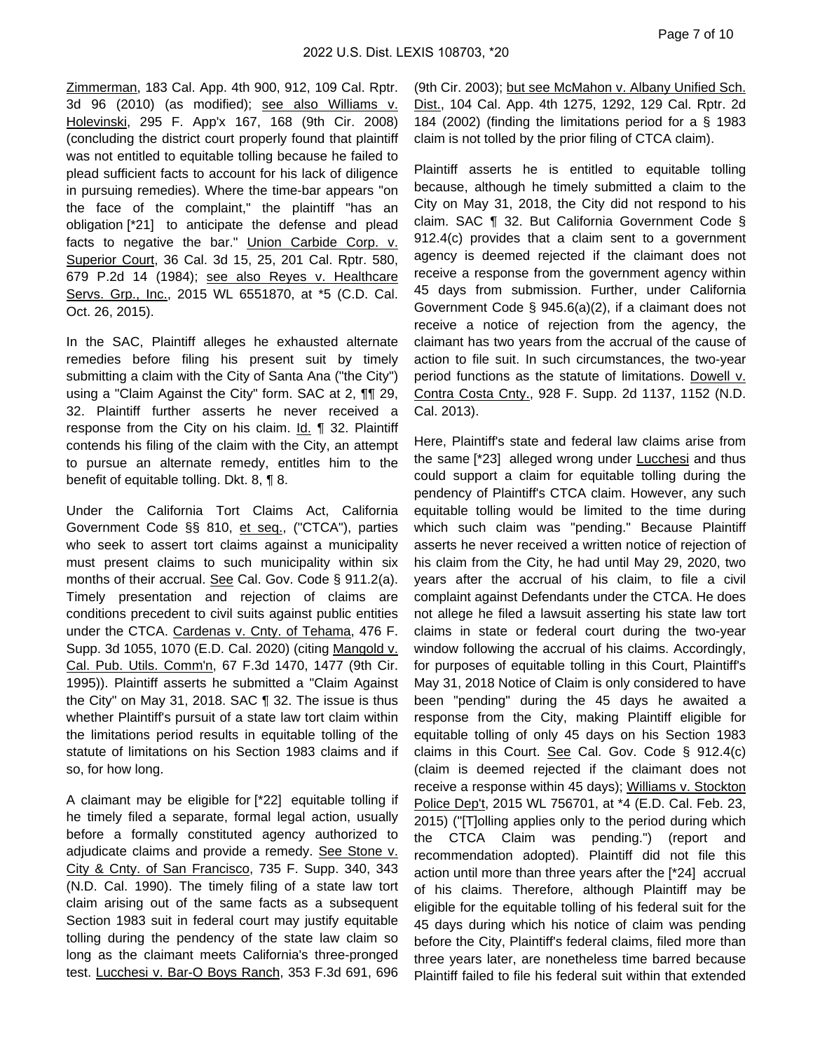Zimmerman, 183 Cal. App. 4th 900, 912, 109 Cal. Rptr. 3d 96 (2010) (as modified); see also Williams v. Holevinski, 295 F. App'x 167, 168 (9th Cir. 2008) (concluding the district court properly found that plaintiff was not entitled to equitable tolling because he failed to plead sufficient facts to account for his lack of diligence in pursuing remedies). Where the time-bar appears "on the face of the complaint," the plaintiff "has an obligation [\*21] to anticipate the defense and plead facts to negative the bar." Union Carbide Corp. v. Superior Court, 36 Cal. 3d 15, 25, 201 Cal. Rptr. 580, 679 P.2d 14 (1984); see also Reyes v. Healthcare Servs. Grp., Inc., 2015 WL 6551870, at \*5 (C.D. Cal. Oct. 26, 2015).

In the SAC, Plaintiff alleges he exhausted alternate remedies before filing his present suit by timely submitting a claim with the City of Santa Ana ("the City") using a "Claim Against the City" form. SAC at 2, ¶¶ 29, 32. Plaintiff further asserts he never received a response from the City on his claim.  $Id. \P$  32. Plaintiff contends his filing of the claim with the City, an attempt to pursue an alternate remedy, entitles him to the benefit of equitable tolling. Dkt. 8, ¶ 8.

Under the California Tort Claims Act, California Government Code §§ 810, et seq., ("CTCA"), parties who seek to assert tort claims against a municipality must present claims to such municipality within six months of their accrual. See Cal. Gov. Code § 911.2(a). Timely presentation and rejection of claims are conditions precedent to civil suits against public entities under the CTCA. Cardenas v. Cnty. of Tehama, 476 F. Supp. 3d 1055, 1070 (E.D. Cal. 2020) (citing Mangold v. Cal. Pub. Utils. Comm'n, 67 F.3d 1470, 1477 (9th Cir. 1995)). Plaintiff asserts he submitted a "Claim Against the City" on May 31, 2018. SAC ¶ 32. The issue is thus whether Plaintiff's pursuit of a state law tort claim within the limitations period results in equitable tolling of the statute of limitations on his Section 1983 claims and if so, for how long.

A claimant may be eligible for [\*22] equitable tolling if he timely filed a separate, formal legal action, usually before a formally constituted agency authorized to adjudicate claims and provide a remedy. See Stone v. City & Cnty. of San Francisco, 735 F. Supp. 340, 343 (N.D. Cal. 1990). The timely filing of a state law tort claim arising out of the same facts as a subsequent Section 1983 suit in federal court may justify equitable tolling during the pendency of the state law claim so long as the claimant meets California's three-pronged test. Lucchesi v. Bar-O Boys Ranch, 353 F.3d 691, 696

(9th Cir. 2003); but see McMahon v. Albany Unified Sch. Dist., 104 Cal. App. 4th 1275, 1292, 129 Cal. Rptr. 2d 184 (2002) (finding the limitations period for a § 1983 claim is not tolled by the prior filing of CTCA claim).

Plaintiff asserts he is entitled to equitable tolling because, although he timely submitted a claim to the City on May 31, 2018, the City did not respond to his claim. SAC ¶ 32. But California Government Code § 912.4(c) provides that a claim sent to a government agency is deemed rejected if the claimant does not receive a response from the government agency within 45 days from submission. Further, under California Government Code § 945.6(a)(2), if a claimant does not receive a notice of rejection from the agency, the claimant has two years from the accrual of the cause of action to file suit. In such circumstances, the two-year period functions as the statute of limitations. Dowell v. Contra Costa Cnty., 928 F. Supp. 2d 1137, 1152 (N.D. Cal. 2013).

Here, Plaintiff's state and federal law claims arise from the same [\*23] alleged wrong under Lucchesi and thus could support a claim for equitable tolling during the pendency of Plaintiff's CTCA claim. However, any such equitable tolling would be limited to the time during which such claim was "pending." Because Plaintiff asserts he never received a written notice of rejection of his claim from the City, he had until May 29, 2020, two years after the accrual of his claim, to file a civil complaint against Defendants under the CTCA. He does not allege he filed a lawsuit asserting his state law tort claims in state or federal court during the two-year window following the accrual of his claims. Accordingly, for purposes of equitable tolling in this Court, Plaintiff's May 31, 2018 Notice of Claim is only considered to have been "pending" during the 45 days he awaited a response from the City, making Plaintiff eligible for equitable tolling of only 45 days on his Section 1983 claims in this Court. See Cal. Gov. Code § 912.4(c) (claim is deemed rejected if the claimant does not receive a response within 45 days); Williams v. Stockton Police Dep't, 2015 WL 756701, at \*4 (E.D. Cal. Feb. 23, 2015) ("[T]olling applies only to the period during which the CTCA Claim was pending.") (report and recommendation adopted). Plaintiff did not file this action until more than three years after the [\*24] accrual of his claims. Therefore, although Plaintiff may be eligible for the equitable tolling of his federal suit for the 45 days during which his notice of claim was pending before the City, Plaintiff's federal claims, filed more than three years later, are nonetheless time barred because Plaintiff failed to file his federal suit within that extended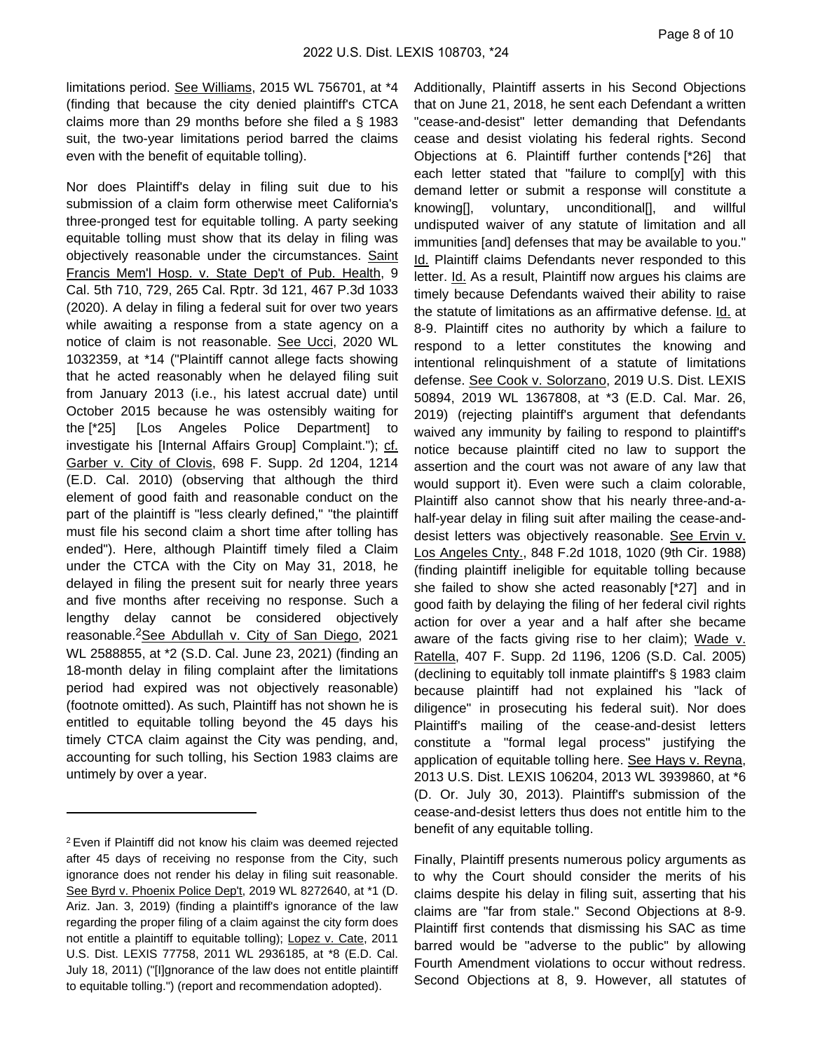limitations period. See Williams, 2015 WL 756701, at \*4 (finding that because the city denied plaintiff's CTCA claims more than 29 months before she filed a § 1983 suit, the two-year limitations period barred the claims even with the benefit of equitable tolling).

Nor does Plaintiff's delay in filing suit due to his submission of a claim form otherwise meet California's three-pronged test for equitable tolling. A party seeking equitable tolling must show that its delay in filing was objectively reasonable under the circumstances. Saint Francis Mem'l Hosp. v. State Dep't of Pub. Health, 9 Cal. 5th 710, 729, 265 Cal. Rptr. 3d 121, 467 P.3d 1033 (2020). A delay in filing a federal suit for over two years while awaiting a response from a state agency on a notice of claim is not reasonable. See Ucci, 2020 WL 1032359, at \*14 ("Plaintiff cannot allege facts showing that he acted reasonably when he delayed filing suit from January 2013 (i.e., his latest accrual date) until October 2015 because he was ostensibly waiting for the [\*25] [Los Angeles Police Department] to investigate his [Internal Affairs Group] Complaint."); cf. Garber v. City of Clovis, 698 F. Supp. 2d 1204, 1214 (E.D. Cal. 2010) (observing that although the third element of good faith and reasonable conduct on the part of the plaintiff is "less clearly defined," "the plaintiff must file his second claim a short time after tolling has ended"). Here, although Plaintiff timely filed a Claim under the CTCA with the City on May 31, 2018, he delayed in filing the present suit for nearly three years and five months after receiving no response. Such a lengthy delay cannot be considered objectively reasonable.<sup>2</sup>See Abdullah v. City of San Diego, 2021 WL 2588855, at \*2 (S.D. Cal. June 23, 2021) (finding an 18-month delay in filing complaint after the limitations period had expired was not objectively reasonable) (footnote omitted). As such, Plaintiff has not shown he is entitled to equitable tolling beyond the 45 days his timely CTCA claim against the City was pending, and, accounting for such tolling, his Section 1983 claims are untimely by over a year.

Additionally, Plaintiff asserts in his Second Objections that on June 21, 2018, he sent each Defendant a written "cease-and-desist" letter demanding that Defendants cease and desist violating his federal rights. Second Objections at 6. Plaintiff further contends [\*26] that each letter stated that "failure to compl[y] with this demand letter or submit a response will constitute a knowing[], voluntary, unconditional[], and willful undisputed waiver of any statute of limitation and all immunities [and] defenses that may be available to you." Id. Plaintiff claims Defendants never responded to this letter. Id. As a result, Plaintiff now argues his claims are timely because Defendants waived their ability to raise the statute of limitations as an affirmative defense. Id. at 8-9. Plaintiff cites no authority by which a failure to respond to a letter constitutes the knowing and intentional relinquishment of a statute of limitations defense. See Cook v. Solorzano, 2019 U.S. Dist. LEXIS 50894, 2019 WL 1367808, at \*3 (E.D. Cal. Mar. 26, 2019) (rejecting plaintiff's argument that defendants waived any immunity by failing to respond to plaintiff's notice because plaintiff cited no law to support the assertion and the court was not aware of any law that would support it). Even were such a claim colorable, Plaintiff also cannot show that his nearly three-and-ahalf-year delay in filing suit after mailing the cease-anddesist letters was objectively reasonable. See Ervin v. Los Angeles Cnty., 848 F.2d 1018, 1020 (9th Cir. 1988) (finding plaintiff ineligible for equitable tolling because she failed to show she acted reasonably [\*27] and in good faith by delaying the filing of her federal civil rights action for over a year and a half after she became aware of the facts giving rise to her claim); Wade v. Ratella, 407 F. Supp. 2d 1196, 1206 (S.D. Cal. 2005) (declining to equitably toll inmate plaintiff's § 1983 claim because plaintiff had not explained his "lack of diligence" in prosecuting his federal suit). Nor does Plaintiff's mailing of the cease-and-desist letters constitute a "formal legal process" justifying the application of equitable tolling here. See Hays v. Reyna, 2013 U.S. Dist. LEXIS 106204, 2013 WL 3939860, at \*6 (D. Or. July 30, 2013). Plaintiff's submission of the cease-and-desist letters thus does not entitle him to the benefit of any equitable tolling.

Finally, Plaintiff presents numerous policy arguments as to why the Court should consider the merits of his claims despite his delay in filing suit, asserting that his claims are "far from stale." Second Objections at 8-9. Plaintiff first contends that dismissing his SAC as time barred would be "adverse to the public" by allowing Fourth Amendment violations to occur without redress. Second Objections at 8, 9. However, all statutes of

<sup>2</sup>Even if Plaintiff did not know his claim was deemed rejected after 45 days of receiving no response from the City, such ignorance does not render his delay in filing suit reasonable. See Byrd v. Phoenix Police Dep't, 2019 WL 8272640, at \*1 (D. Ariz. Jan. 3, 2019) (finding a plaintiff's ignorance of the law regarding the proper filing of a claim against the city form does not entitle a plaintiff to equitable tolling); Lopez v. Cate, 2011 U.S. Dist. LEXIS 77758, 2011 WL 2936185, at \*8 (E.D. Cal. July 18, 2011) ("[I]gnorance of the law does not entitle plaintiff to equitable tolling.") (report and recommendation adopted).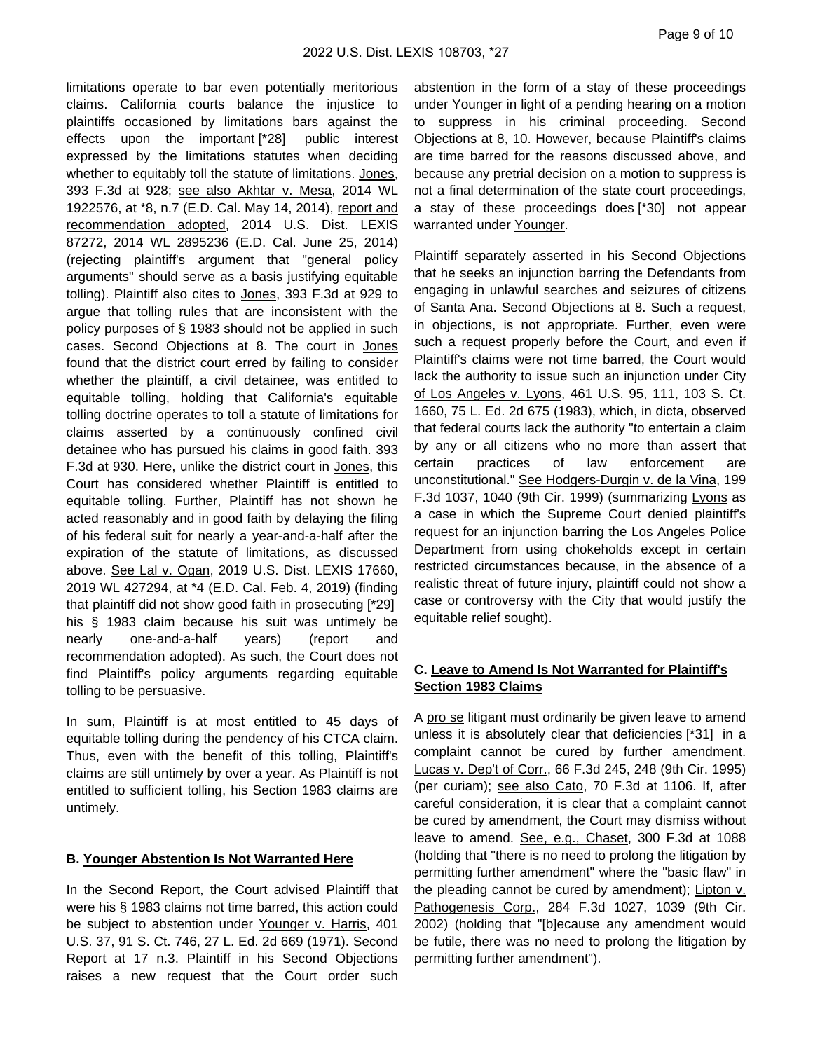limitations operate to bar even potentially meritorious claims. California courts balance the injustice to plaintiffs occasioned by limitations bars against the effects upon the important [\*28] public interest expressed by the limitations statutes when deciding whether to equitably toll the statute of limitations. Jones, 393 F.3d at 928; see also Akhtar v. Mesa, 2014 WL 1922576, at \*8, n.7 (E.D. Cal. May 14, 2014), report and recommendation adopted, 2014 U.S. Dist. LEXIS 87272, 2014 WL 2895236 (E.D. Cal. June 25, 2014) (rejecting plaintiff's argument that "general policy arguments" should serve as a basis justifying equitable tolling). Plaintiff also cites to Jones, 393 F.3d at 929 to argue that tolling rules that are inconsistent with the policy purposes of § 1983 should not be applied in such cases. Second Objections at 8. The court in Jones found that the district court erred by failing to consider whether the plaintiff, a civil detainee, was entitled to equitable tolling, holding that California's equitable tolling doctrine operates to toll a statute of limitations for claims asserted by a continuously confined civil detainee who has pursued his claims in good faith. 393 F.3d at 930. Here, unlike the district court in Jones, this Court has considered whether Plaintiff is entitled to equitable tolling. Further, Plaintiff has not shown he acted reasonably and in good faith by delaying the filing of his federal suit for nearly a year-and-a-half after the expiration of the statute of limitations, as discussed above. See Lal v. Ogan, 2019 U.S. Dist. LEXIS 17660, 2019 WL 427294, at \*4 (E.D. Cal. Feb. 4, 2019) (finding that plaintiff did not show good faith in prosecuting [\*29] his § 1983 claim because his suit was untimely be nearly one-and-a-half years) (report and recommendation adopted). As such, the Court does not find Plaintiff's policy arguments regarding equitable tolling to be persuasive.

In sum, Plaintiff is at most entitled to 45 days of equitable tolling during the pendency of his CTCA claim. Thus, even with the benefit of this tolling, Plaintiff's claims are still untimely by over a year. As Plaintiff is not entitled to sufficient tolling, his Section 1983 claims are untimely.

## **B. Younger Abstention Is Not Warranted Here**

In the Second Report, the Court advised Plaintiff that were his § 1983 claims not time barred, this action could be subject to abstention under Younger v. Harris, 401 U.S. 37, 91 S. Ct. 746, 27 L. Ed. 2d 669 (1971). Second Report at 17 n.3. Plaintiff in his Second Objections raises a new request that the Court order such

abstention in the form of a stay of these proceedings under Younger in light of a pending hearing on a motion to suppress in his criminal proceeding. Second Objections at 8, 10. However, because Plaintiff's claims are time barred for the reasons discussed above, and because any pretrial decision on a motion to suppress is not a final determination of the state court proceedings, a stay of these proceedings does [\*30] not appear warranted under Younger.

Plaintiff separately asserted in his Second Objections that he seeks an injunction barring the Defendants from engaging in unlawful searches and seizures of citizens of Santa Ana. Second Objections at 8. Such a request, in objections, is not appropriate. Further, even were such a request properly before the Court, and even if Plaintiff's claims were not time barred, the Court would lack the authority to issue such an injunction under City of Los Angeles v. Lyons, 461 U.S. 95, 111, 103 S. Ct. 1660, 75 L. Ed. 2d 675 (1983), which, in dicta, observed that federal courts lack the authority "to entertain a claim by any or all citizens who no more than assert that certain practices of law enforcement are unconstitutional." See Hodgers-Durgin v. de la Vina, 199 F.3d 1037, 1040 (9th Cir. 1999) (summarizing Lyons as a case in which the Supreme Court denied plaintiff's request for an injunction barring the Los Angeles Police Department from using chokeholds except in certain restricted circumstances because, in the absence of a realistic threat of future injury, plaintiff could not show a case or controversy with the City that would justify the equitable relief sought).

# **C. Leave to Amend Is Not Warranted for Plaintiff's Section 1983 Claims**

A pro se litigant must ordinarily be given leave to amend unless it is absolutely clear that deficiencies [\*31] in a complaint cannot be cured by further amendment. Lucas v. Dep't of Corr., 66 F.3d 245, 248 (9th Cir. 1995) (per curiam); see also Cato, 70 F.3d at 1106. If, after careful consideration, it is clear that a complaint cannot be cured by amendment, the Court may dismiss without leave to amend. See, e.g., Chaset, 300 F.3d at 1088 (holding that "there is no need to prolong the litigation by permitting further amendment" where the "basic flaw" in the pleading cannot be cured by amendment); Lipton v. Pathogenesis Corp., 284 F.3d 1027, 1039 (9th Cir. 2002) (holding that "[b]ecause any amendment would be futile, there was no need to prolong the litigation by permitting further amendment").